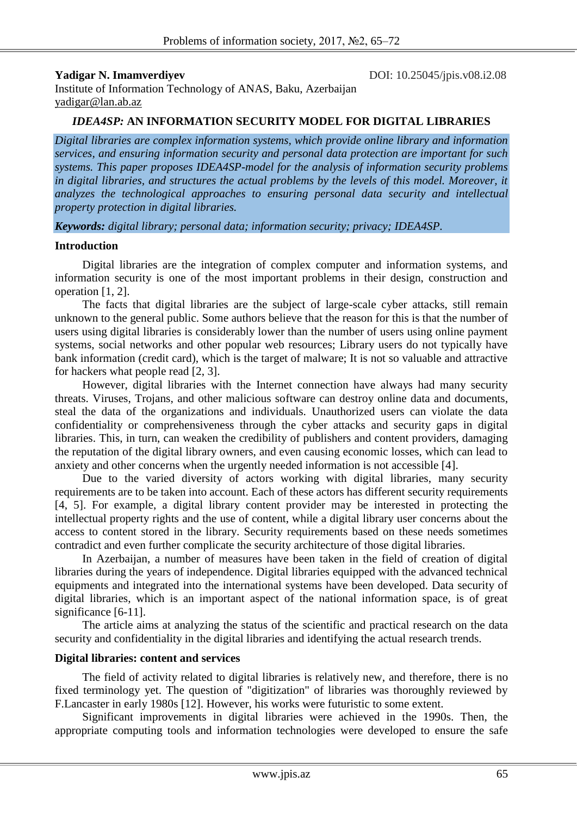**Yadigar N. Imamverdiyev** DOI: 10.25045/jpis.v08.i2.08

Institute of Information Technology of ANAS, Baku, Azerbaijan [yadigar@lan.ab.az](mailto:yadigar@lan.ab.az)

## *IDEA4SP:* **AN INFORMATION SECURITY MODEL FOR DIGITAL LIBRARIES**

*Digital libraries are complex information systems, which provide online library and information services, and ensuring information security and personal data protection are important for such systems. This paper proposes IDEA4SP-model for the analysis of information security problems in digital libraries, and structures the actual problems by the levels of this model. Moreover, it analyzes the technological approaches to ensuring personal data security and intellectual property protection in digital libraries.*

*Keywords: digital library; personal data; information security; privacy; IDEA4SP.*

### **Introduction**

Digital libraries are the integration of complex computer and information systems, and information security is one of the most important problems in their design, construction and operation [1, 2].

The facts that digital libraries are the subject of large-scale cyber attacks, still remain unknown to the general public. Some authors believe that the reason for this is that the number of users using digital libraries is considerably lower than the number of users using online payment systems, social networks and other popular web resources; Library users do not typically have bank information (credit card), which is the target of malware; It is not so valuable and attractive for hackers what people read [2, 3].

However, digital libraries with the Internet connection have always had many security threats. Viruses, Trojans, and other malicious software can destroy online data and documents, steal the data of the organizations and individuals. Unauthorized users can violate the data confidentiality or comprehensiveness through the cyber attacks and security gaps in digital libraries. This, in turn, can weaken the credibility of publishers and content providers, damaging the reputation of the digital library owners, and even causing economic losses, which can lead to anxiety and other concerns when the urgently needed information is not accessible [4].

Due to the varied diversity of actors working with digital libraries, many security requirements are to be taken into account. Each of these actors has different security requirements [4, 5]. For example, a digital library content provider may be interested in protecting the intellectual property rights and the use of content, while a digital library user concerns about the access to content stored in the library. Security requirements based on these needs sometimes contradict and even further complicate the security architecture of those digital libraries.

In Azerbaijan, a number of measures have been taken in the field of creation of digital libraries during the years of independence. Digital libraries equipped with the advanced technical equipments and integrated into the international systems have been developed. Data security of digital libraries, which is an important aspect of the national information space, is of great significance [6-11].

The article aims at analyzing the status of the scientific and practical research on the data security and confidentiality in the digital libraries and identifying the actual research trends.

## **Digital libraries: content and services**

The field of activity related to digital libraries is relatively new, and therefore, there is no fixed terminology yet. The question of "digitization" of libraries was thoroughly reviewed by F.Lancaster in early 1980s [12]. However, his works were futuristic to some extent.

Significant improvements in digital libraries were achieved in the 1990s. Then, the appropriate computing tools and information technologies were developed to ensure the safe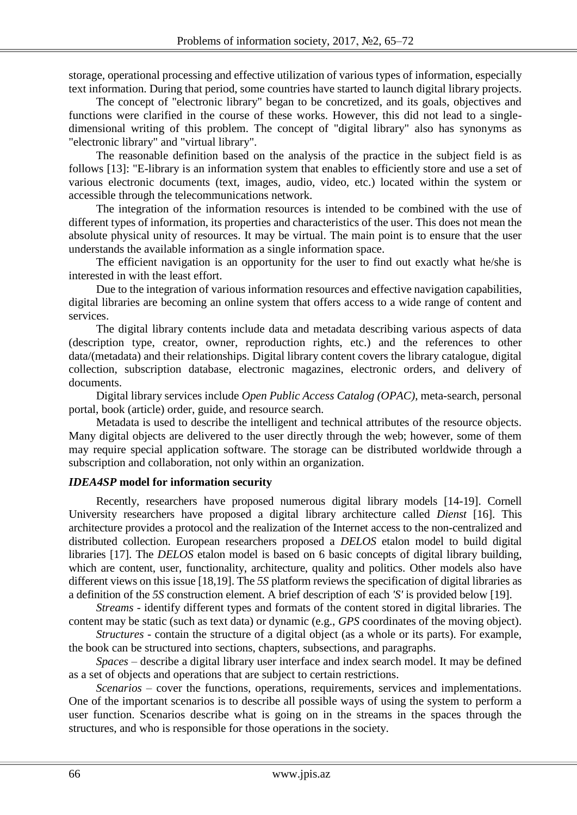storage, operational processing and effective utilization of various types of information, especially text information. During that period, some countries have started to launch digital library projects.

The concept of "electronic library" began to be concretized, and its goals, objectives and functions were clarified in the course of these works. However, this did not lead to a singledimensional writing of this problem. The concept of "digital library" also has synonyms as "electronic library" and "virtual library".

The reasonable definition based on the analysis of the practice in the subject field is as follows [13]: "E-library is an information system that enables to efficiently store and use a set of various electronic documents (text, images, audio, video, etc.) located within the system or accessible through the telecommunications network.

The integration of the information resources is intended to be combined with the use of different types of information, its properties and characteristics of the user. This does not mean the absolute physical unity of resources. It may be virtual. The main point is to ensure that the user understands the available information as a single information space.

The efficient navigation is an opportunity for the user to find out exactly what he/she is interested in with the least effort.

Due to the integration of various information resources and effective navigation capabilities, digital libraries are becoming an online system that offers access to a wide range of content and services.

The digital library contents include data and metadata describing various aspects of data (description type, creator, owner, reproduction rights, etc.) and the references to other data/(metadata) and their relationships. Digital library content covers the library catalogue, digital collection, subscription database, electronic magazines, electronic orders, and delivery of documents.

Digital library services include *Open Public Access Catalog (OPAC)*, meta-search, personal portal, book (article) order, guide, and resource search.

Metadata is used to describe the intelligent and technical attributes of the resource objects. Many digital objects are delivered to the user directly through the web; however, some of them may require special application software. The storage can be distributed worldwide through a subscription and collaboration, not only within an organization.

## *IDEA4SP* **model for information security**

Recently, researchers have proposed numerous digital library models [14-19]. Cornell University researchers have proposed a digital library architecture called *Dienst* [16]. This architecture provides a protocol and the realization of the Internet access to the non-centralized and distributed collection. European researchers proposed a *DELOS* etalon model to build digital libraries [17]. The *DELOS* etalon model is based on 6 basic concepts of digital library building, which are content, user, functionality, architecture, quality and politics. Other models also have different views on this issue [18,19]. The *5S* platform reviews the specification of digital libraries as a definition of the *5S* construction element. A brief description of each *'S'* is provided below [19].

*Streams* - identify different types and formats of the content stored in digital libraries. The content may be static (such as text data) or dynamic (e.g., *GPS* coordinates of the moving object).

*Structures* - contain the structure of a digital object (as a whole or its parts). For example, the book can be structured into sections, chapters, subsections, and paragraphs.

*Spaces* – describe a digital library user interface and index search model. It may be defined as a set of objects and operations that are subject to certain restrictions.

*Scenarios* – cover the functions, operations, requirements, services and implementations. One of the important scenarios is to describe all possible ways of using the system to perform a user function. Scenarios describe what is going on in the streams in the spaces through the structures, and who is responsible for those operations in the society.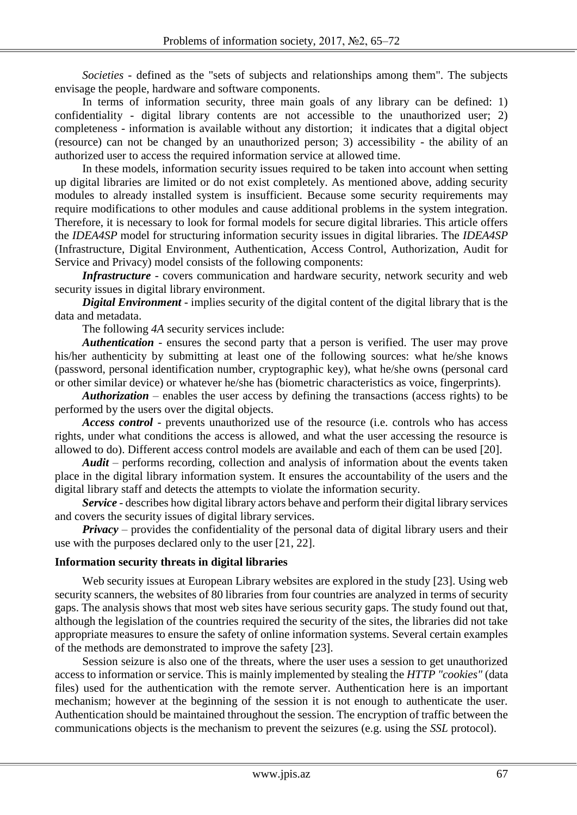*Societies* - defined as the "sets of subjects and relationships among them". The subjects envisage the people, hardware and software components.

In terms of information security, three main goals of any library can be defined: 1) confidentiality - digital library contents are not accessible to the unauthorized user; 2) completeness - information is available without any distortion; it indicates that a digital object (resource) can not be changed by an unauthorized person; 3) accessibility - the ability of an authorized user to access the required information service at allowed time.

In these models, information security issues required to be taken into account when setting up digital libraries are limited or do not exist completely. As mentioned above, adding security modules to already installed system is insufficient. Because some security requirements may require modifications to other modules and cause additional problems in the system integration. Therefore, it is necessary to look for formal models for secure digital libraries. This article offers the *IDEA4SP* model for structuring information security issues in digital libraries. The *IDEA4SP* (Infrastructure, Digital Environment, Authentication, Access Control, Authorization, Audit for Service and Privacy) model consists of the following components:

*Infrastructure* - covers communication and hardware security, network security and web security issues in digital library environment.

*Digital Environment* - implies security of the digital content of the digital library that is the data and metadata.

The following *4A* security services include:

*Authentication* - ensures the second party that a person is verified. The user may prove his/her authenticity by submitting at least one of the following sources: what he/she knows (password, personal identification number, cryptographic key), what he/she owns (personal card or other similar device) or whatever he/she has (biometric characteristics as voice, fingerprints).

*Authorization* – enables the user access by defining the transactions (access rights) to be performed by the users over the digital objects.

*Access control* - prevents unauthorized use of the resource (i.e. controls who has access rights, under what conditions the access is allowed, and what the user accessing the resource is allowed to do). Different access control models are available and each of them can be used [20].

*Audit* – performs recording, collection and analysis of information about the events taken place in the digital library information system. It ensures the accountability of the users and the digital library staff and detects the attempts to violate the information security.

*Service* - describes how digital library actors behave and perform their digital library services and covers the security issues of digital library services.

*Privacy* – provides the confidentiality of the personal data of digital library users and their use with the purposes declared only to the user [21, 22].

## **Information security threats in digital libraries**

Web security issues at European Library websites are explored in the study [23]. Using web security scanners, the websites of 80 libraries from four countries are analyzed in terms of security gaps. The analysis shows that most web sites have serious security gaps. The study found out that, although the legislation of the countries required the security of the sites, the libraries did not take appropriate measures to ensure the safety of online information systems. Several certain examples of the methods are demonstrated to improve the safety [23].

Session seizure is also one of the threats, where the user uses a session to get unauthorized access to information or service. This is mainly implemented by stealing the *HTTP "cookies"* (data files) used for the authentication with the remote server. Authentication here is an important mechanism; however at the beginning of the session it is not enough to authenticate the user. Authentication should be maintained throughout the session. The encryption of traffic between the communications objects is the mechanism to prevent the seizures (e.g. using the *SSL* protocol).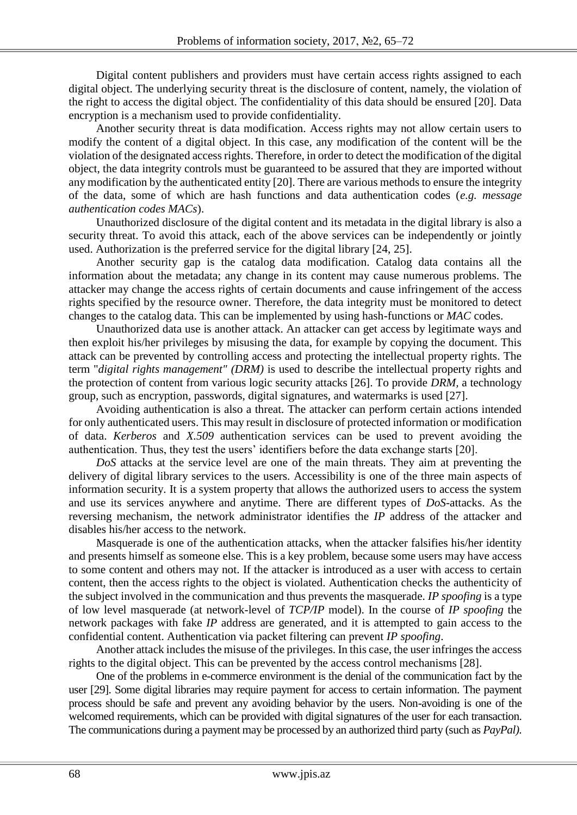Digital content publishers and providers must have certain access rights assigned to each digital object. The underlying security threat is the disclosure of content, namely, the violation of the right to access the digital object. The confidentiality of this data should be ensured [20]. Data encryption is a mechanism used to provide confidentiality.

Another security threat is data modification. Access rights may not allow certain users to modify the content of a digital object. In this case, any modification of the content will be the violation of the designated access rights. Therefore, in order to detect the modification of the digital object, the data integrity controls must be guaranteed to be assured that they are imported without any modification by the authenticated entity [20]. There are various methods to ensure the integrity of the data, some of which are hash functions and data authentication codes (*e.g. message authentication codes MACs*).

Unauthorized disclosure of the digital content and its metadata in the digital library is also a security threat. To avoid this attack, each of the above services can be independently or jointly used. Authorization is the preferred service for the digital library [24, 25].

Another security gap is the catalog data modification. Catalog data contains all the information about the metadata; any change in its content may cause numerous problems. The attacker may change the access rights of certain documents and cause infringement of the access rights specified by the resource owner. Therefore, the data integrity must be monitored to detect changes to the catalog data. This can be implemented by using hash-functions or *MAC* codes.

Unauthorized data use is another attack. An attacker can get access by legitimate ways and then exploit his/her privileges by misusing the data, for example by copying the document. This attack can be prevented by controlling access and protecting the intellectual property rights. The term "*digital rights management" (DRM)* is used to describe the intellectual property rights and the protection of content from various logic security attacks [26]. To provide *DRM,* a technology group, such as encryption, passwords, digital signatures, and watermarks is used [27].

Avoiding authentication is also a threat. The attacker can perform certain actions intended for only authenticated users. This may result in disclosure of protected information or modification of data. *Kerberos* and *X.509* authentication services can be used to prevent avoiding the authentication. Thus, they test the users' identifiers before the data exchange starts [20].

*DoS* attacks at the service level are one of the main threats. They aim at preventing the delivery of digital library services to the users. Accessibility is one of the three main aspects of information security. It is a system property that allows the authorized users to access the system and use its services anywhere and anytime. There are different types of *DoS*-attacks. As the reversing mechanism, the network administrator identifies the *IP* address of the attacker and disables his/her access to the network.

Masquerade is one of the authentication attacks, when the attacker falsifies his/her identity and presents himself as someone else. This is a key problem, because some users may have access to some content and others may not. If the attacker is introduced as a user with access to certain content, then the access rights to the object is violated. Authentication checks the authenticity of the subject involved in the communication and thus prevents the masquerade. *IP spoofing* is a type of low level masquerade (at network-level of *TCP/IP* model). In the course of *IP spoofing* the network packages with fake *IP* address are generated, and it is attempted to gain access to the confidential content. Authentication via packet filtering can prevent *IP spoofing*.

Another attack includes the misuse of the privileges. In this case, the user infringes the access rights to the digital object. This can be prevented by the access control mechanisms [28].

One of the problems in e-commerce environment is the denial of the communication fact by the user [29]. Some digital libraries may require payment for access to certain information. The payment process should be safe and prevent any avoiding behavior by the users. Non-avoiding is one of the welcomed requirements, which can be provided with digital signatures of the user for each transaction. The communications during a payment may be processed by an authorized third party (such as *PayPal)*.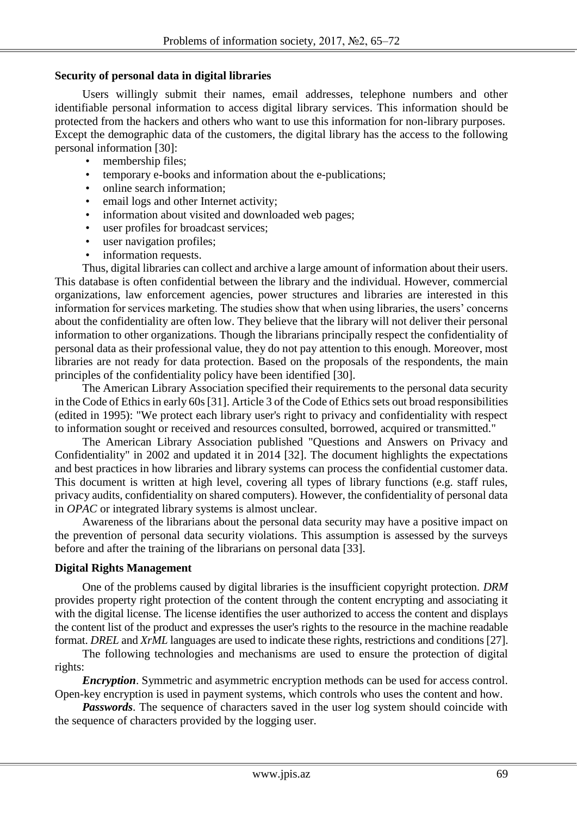### **Security of personal data in digital libraries**

Users willingly submit their names, email addresses, telephone numbers and other identifiable personal information to access digital library services. This information should be protected from the hackers and others who want to use this information for non-library purposes. Except the demographic data of the customers, the digital library has the access to the following personal information [30]:

- membership files;
- temporary e-books and information about the e-publications;
- online search information;
- email logs and other Internet activity;
- information about visited and downloaded web pages;
- user profiles for broadcast services:
- user navigation profiles;
- information requests.

Thus, digital libraries can collect and archive a large amount of information about their users. This database is often confidential between the library and the individual. However, commercial organizations, law enforcement agencies, power structures and libraries are interested in this information for services marketing. The studies show that when using libraries, the users' concerns about the confidentiality are often low. They believe that the library will not deliver their personal information to other organizations. Though the librarians principally respect the confidentiality of personal data as their professional value, they do not pay attention to this enough. Moreover, most libraries are not ready for data protection. Based on the proposals of the respondents, the main principles of the confidentiality policy have been identified [30].

The American Library Association specified their requirements to the personal data security in the Code of Ethics in early 60s [31]. Article 3 of the Code of Ethics sets out broad responsibilities (edited in 1995): "We protect each library user's right to privacy and confidentiality with respect to information sought or received and resources consulted, borrowed, acquired or transmitted."

The American Library Association published "Questions and Answers on Privacy and Confidentiality" in 2002 and updated it in 2014 [32]. The document highlights the expectations and best practices in how libraries and library systems can process the confidential customer data. This document is written at high level, covering all types of library functions (e.g. staff rules, privacy audits, confidentiality on shared computers). However, the confidentiality of personal data in *OPAC* or integrated library systems is almost unclear.

Awareness of the librarians about the personal data security may have a positive impact on the prevention of personal data security violations. This assumption is assessed by the surveys before and after the training of the librarians on personal data [33].

#### **Digital Rights Management**

One of the problems caused by digital libraries is the insufficient copyright protection. *DRM* provides property right protection of the content through the content encrypting and associating it with the digital license. The license identifies the user authorized to access the content and displays the content list of the product and expresses the user's rights to the resource in the machine readable format. *DREL* and *XrML* languages are used to indicate these rights, restrictions and conditions [27].

The following technologies and mechanisms are used to ensure the protection of digital rights:

*Encryption*. Symmetric and asymmetric encryption methods can be used for access control. Open-key encryption is used in payment systems, which controls who uses the content and how.

*Passwords*. The sequence of characters saved in the user log system should coincide with the sequence of characters provided by the logging user.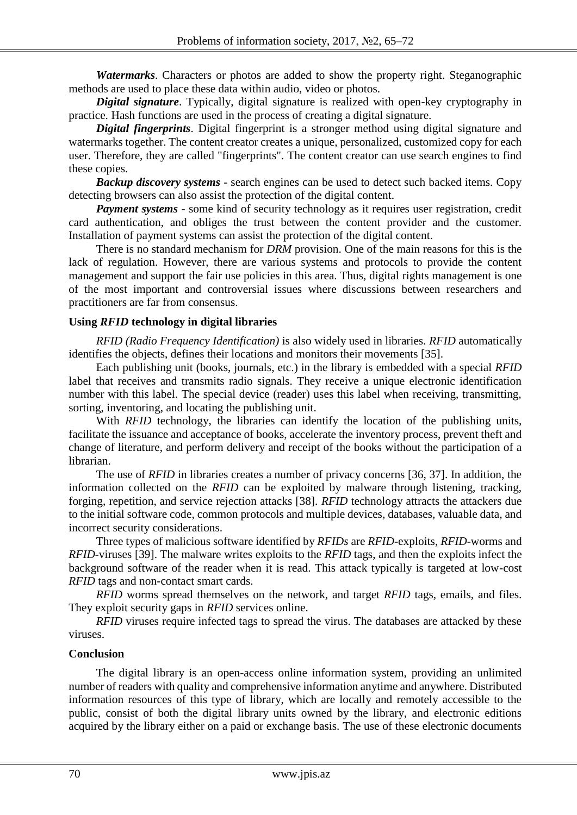*Watermarks*. Characters or photos are added to show the property right. Steganographic methods are used to place these data within audio, video or photos.

*Digital signature*. Typically, digital signature is realized with open-key cryptography in practice. Hash functions are used in the process of creating a digital signature.

*Digital fingerprints*. Digital fingerprint is a stronger method using digital signature and watermarks together. The content creator creates a unique, personalized, customized copy for each user. Therefore, they are called "fingerprints". The content creator can use search engines to find these copies.

*Backup discovery systems* - search engines can be used to detect such backed items. Copy detecting browsers can also assist the protection of the digital content.

*Payment systems* - some kind of security technology as it requires user registration, credit card authentication, and obliges the trust between the content provider and the customer. Installation of payment systems can assist the protection of the digital content.

There is no standard mechanism for *DRM* provision. One of the main reasons for this is the lack of regulation. However, there are various systems and protocols to provide the content management and support the fair use policies in this area. Thus, digital rights management is one of the most important and controversial issues where discussions between researchers and practitioners are far from consensus.

## **Using** *RFID* **technology in digital libraries**

*RFID (Radio Frequency Identification)* is also widely used in libraries. *RFID* automatically identifies the objects, defines their locations and monitors their movements [35].

Each publishing unit (books, journals, etc.) in the library is embedded with a special *RFID* label that receives and transmits radio signals. They receive a unique electronic identification number with this label. The special device (reader) uses this label when receiving, transmitting, sorting, inventoring, and locating the publishing unit.

With *RFID* technology, the libraries can identify the location of the publishing units, facilitate the issuance and acceptance of books, accelerate the inventory process, prevent theft and change of literature, and perform delivery and receipt of the books without the participation of a librarian.

The use of *RFID* in libraries creates a number of privacy concerns [36, 37]. In addition, the information collected on the *RFID* can be exploited by malware through listening, tracking, forging, repetition, and service rejection attacks [38]. *RFID* technology attracts the attackers due to the initial software code, common protocols and multiple devices, databases, valuable data, and incorrect security considerations.

Three types of malicious software identified by *RFIDs* are *RFID*-exploits, *RFID*-worms and *RFID*-viruses [39]. The malware writes exploits to the *RFID* tags, and then the exploits infect the background software of the reader when it is read. This attack typically is targeted at low-cost *RFID* tags and non-contact smart cards.

*RFID* worms spread themselves on the network, and target *RFID* tags, emails, and files. They exploit security gaps in *RFID* services online.

*RFID* viruses require infected tags to spread the virus. The databases are attacked by these viruses.

## **Conclusion**

The digital library is an open-access online information system, providing an unlimited number of readers with quality and comprehensive information anytime and anywhere. Distributed information resources of this type of library, which are locally and remotely accessible to the public, consist of both the digital library units owned by the library, and electronic editions acquired by the library either on a paid or exchange basis. The use of these electronic documents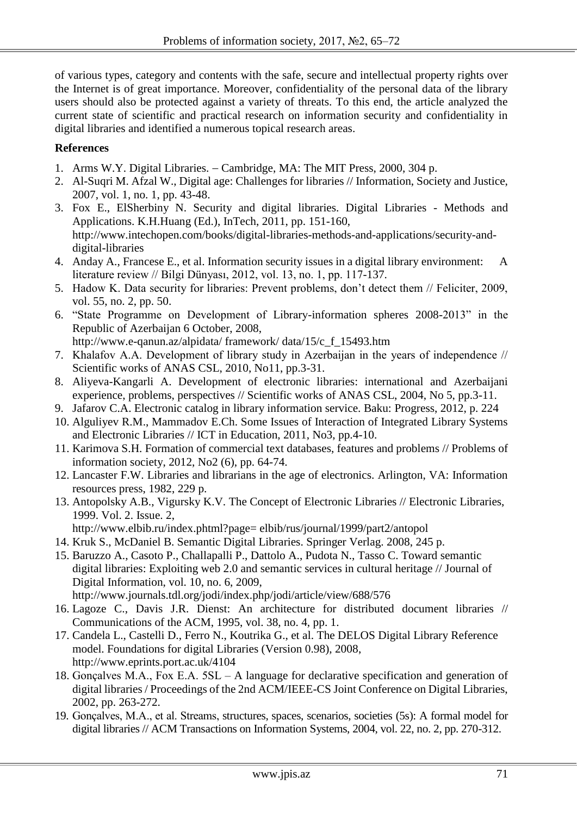of various types, category and contents with the safe, secure and intellectual property rights over the Internet is of great importance. Moreover, confidentiality of the personal data of the library users should also be protected against a variety of threats. To this end, the article analyzed the current state of scientific and practical research on information security and confidentiality in digital libraries and identified a numerous topical research areas.

# **References**

- 1. Arms W.Y. Digital Libraries. Cambridge, MA: The MIT Press, 2000, 304 p.
- 2. Al-Suqri M. Afzal W., Digital age: Challenges for libraries // Information, Society and Justice, 2007, vol. 1, no. 1, pp. 43-48.
- 3. Fox E., ElSherbiny N. Security and digital libraries. Digital Libraries Methods and Applications. K.H.Huang (Ed.), InTech, 2011, pp. 151-160, http://www.intechopen.com/books/digital-libraries-methods-and-applications/security-anddigital-libraries
- 4. Anday A., Francese E., et al. Information security issues in a digital library environment: A literature review // Bilgi Dünyası, 2012, vol. 13, no. 1, pp. 117-137.
- 5. Hadow K. Data security for libraries: Prevent problems, don't detect them // Feliciter, 2009, vol. 55, no. 2, pp. 50.
- 6. "State Programme on Development of Library-information spheres 2008-2013" in the Republic of Azerbaijan 6 October, 2008, http://www.e-qanun.az/alpidata/ framework/ data/15/c\_f\_15493.htm
- 7. Khalafov A.A. Development of library study in Azerbaijan in the years of independence // Scientific works of ANAS CSL, 2010, No11, pp.3-31.
- 8. Aliyeva-Kangarli A. Development of electronic libraries: international and Azerbaijani experience, problems, perspectives // Scientific works of ANAS CSL, 2004, No 5, pp.3-11.
- 9. Jafarov C.A. Electronic catalog in library information service. Baku: Progress, 2012, p. 224
- 10. Alguliyev R.M., Mammadov E.Ch. Some Issues of Interaction of Integrated Library Systems and Electronic Libraries // ICT in Education, 2011, No3, pp.4-10.
- 11. Karimova S.H. Formation of commercial text databases, features and problems // Problems of information society, 2012, No2 (6), pp. 64-74.
- 12. Lancaster F.W. Libraries and librarians in the age of electronics. Arlington, VA: Information resources press, 1982, 229 p.
- 13. Antopolsky A.B., Vigursky K.V. The Concept of Electronic Libraries // Electronic Libraries, 1999. Vol. 2. Issue. 2,
	- http://www.elbib.ru/index.phtml?page= elbib/rus/journal/1999/part2/antopol
- 14. Kruk S., McDaniel B. Semantic Digital Libraries. Springer Verlag. 2008, 245 p.
- 15. Baruzzo A., Casoto P., Challapalli P., Dattolo A., Pudota N., Tasso C. Toward semantic digital libraries: Exploiting web 2.0 and semantic services in cultural heritage // Journal of Digital Information, vol. 10, no. 6, 2009, http://www.journals.tdl.org/jodi/index.php/jodi/article/view/688/576
- 16. Lagoze C., Davis J.R. Dienst: An architecture for distributed document libraries // Communications of the ACM, 1995, vol. 38, no. 4, pp. 1.
- 17. Candela L., Castelli D., Ferro N., Koutrika G., et al. The DELOS Digital Library Reference model. Foundations for digital Libraries (Version 0.98), 2008, http://www.eprints.port.ac.uk/4104
- 18. Gonçalves M.A., Fox E.A. 5SL A language for declarative specification and generation of digital libraries / Proceedings of the 2nd ACM/IEEE-CS Joint Conference on Digital Libraries, 2002, pp. 263-272.
- 19. Gonçalves, M.A., et al. Streams, structures, spaces, scenarios, societies (5s): A formal model for digital libraries // ACM Transactions on Information Systems, 2004, vol. 22, no. 2, pp. 270-312.